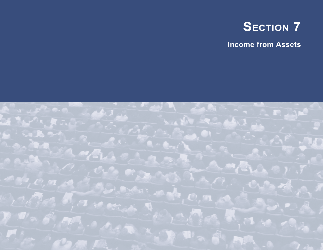

**Income from Assets**

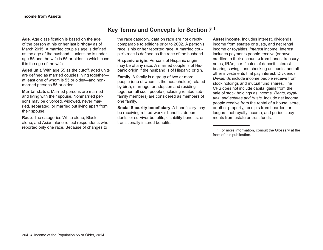# **Key Terms and Concepts for Section 7 1**

**Age**. Age classification is based on the age of the person at his or her last birthday as of March 2015. A married couple's age is defined as the age of the husband—unless he is under age 55 and the wife is 55 or older, in which case it is the age of the wife.

**Aged unit**. With age 55 as the cutoff, aged units are defined as married couples living together at least one of whom is 55 or older—and nonmarried persons 55 or older.

**Marital status**. Married persons are married and living with their spouse. Nonmarried persons may be divorced, widowed, never married, separated, or married but living apart from their spouse.

**Race**. The categories White alone, Black alone, and Asian alone reflect respondents who reported only one race. Because of changes to

the race category, data on race are not directly comparable to editions prior to 2002. A person's race is his or her reported race. A married couple's race is defined as the race of the husband.

**Hispanic origin**. Persons of Hispanic origin may be of any race. A married couple is of Hispanic origin if the husband is of Hispanic origin.

**Family**. A family is a group of two or more people (one of whom is the householder) related by birth, marriage, or adoption and residing together; all such people (including related subfamily members) are considered as members of one family.

**Social Security beneficiary**. A beneficiary may be receiving retired-worker benefits, dependents' or survivor benefits, disability benefits, or transitionally insured benefits.

**Asset income**. Includes interest, dividends, income from estates or trusts, and net rental income or royalties. *Interest* income. Interest includes payments people receive (or have credited to their accounts) from bonds, treasury notes, IRAs, certificates of deposit, interestbearing savings and checking accounts, and all other investments that pay interest. Dividends. *Dividends* include income people receive from stock holdings and mutual fund shares. The CPS does not include capital gains from the sale of stock holdings as income. *Rents, royalties, and estates and trusts*. Include net income people receive from the rental of a house, store, or other property, receipts from boarders or lodgers, net royalty income, and periodic payments from estate or trust funds.

<sup>1</sup> For more information, consult the Glossary at the front of this publication.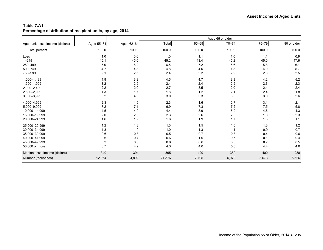**Percentage distribution of recipient units, by age, 2014**

|                                  |            |            | Aged 65 or older |       |           |       |             |  |  |  |  |
|----------------------------------|------------|------------|------------------|-------|-----------|-------|-------------|--|--|--|--|
| Aged unit asset income (dollars) | Aged 55-61 | Aged 62-64 | Total            | 65-69 | $70 - 74$ | 75-79 | 80 or older |  |  |  |  |
| Total percent                    | 100.0      | 100.0      | 100.0            | 100.0 | 100.0     | 100.0 | 100.0       |  |  |  |  |
| Loss                             | 1.0        | 0.6        | 1.0              | 1.1   | 1.0       | 1.1   | 0.9         |  |  |  |  |
| $1 - 249$                        | 45.1       | 45.0       | 45.2             | 43.4  | 45.2      | 45.0  | 47.6        |  |  |  |  |
| 250-499                          | 7.0        | 6.2        | 6.5              | 7.2   | 6.6       | 5.8   | 6.1         |  |  |  |  |
| 500-749                          | 4.7        | 4.8        | 4.8              | 4.5   | 4.3       | 4.9   | 5.7         |  |  |  |  |
| 750-999                          | 2.1        | 2.5        | 2.4              | 2.2   | 2.2       | 2.8   | 2.5         |  |  |  |  |
| 1,000-1,499                      | 4.8        | 3.8        | 4.5              | 4.7   | 3.8       | 4.2   | 5.2         |  |  |  |  |
| 1,500-1,999                      | 3.2        | 2.5        | 2.4              | 2.4   | 2.5       | 2.3   | 2.3         |  |  |  |  |
| 2,000-2,499                      | 2.2        | 2.0        | 2.7              | 3.5   | 2.0       | 2.4   | 2.4         |  |  |  |  |
| 2,500-2,999                      | 1.3        | 1.7        | 1.8              | $1.2$ | 2.1       | 2.4   | 1.8         |  |  |  |  |
| 3,000-3,999                      | 3.2        | 4.0        | 3.0              | 3.3   | 3.0       | 3.0   | 2.6         |  |  |  |  |
| 4,000-4,999                      | 2.3        | 1.9        | 2.3              | 1.6   | 2.7       | 3.1   | 2.1         |  |  |  |  |
| 5,000-9,999                      | 7.2        | 7.1        | 6.9              | 7.3   | 7.2       | 7.5   | 5.8         |  |  |  |  |
| 10,000-14,999                    | 4.5        | 4.9        | 4.4              | 3.9   | 5.0       | 4.6   | 4.3         |  |  |  |  |
| 15,000-19,999                    | 2.0        | 2.8        | 2.3              | 2.6   | 2.3       | 1.8   | 2.3         |  |  |  |  |
| 20,000-24,999                    | 1.6        | 1.9        | 1.6              | 1.9   | 1.7       | 1.5   | 1.1         |  |  |  |  |
| 25,000-29,999                    | 1.2        | 1.3        | 1.3              | 1.5   | 1.0       | 1.3   | 1.2         |  |  |  |  |
| 30,000-34,999                    | 1.3        | 1.0        | 1.0              | 1.3   | 1.1       | 0.9   | 0.7         |  |  |  |  |
| 35,000-39,999                    | 0.6        | 0.8        | 0.5              | 0.7   | 0.3       | 0.4   | 0.6         |  |  |  |  |
| 40,000-44,999                    | 0.6        | 0.7        | 0.6              | 1.0   | 0.5       | 0.1   | 0.4         |  |  |  |  |
| 45,000-49,999                    | 0.3        | 0.3        | 0.6              | 0.6   | 0.5       | 0.7   | 0.5         |  |  |  |  |
| 50,000 or more                   | 3.7        | 4.2        | 4.3              | 4.0   | 5.0       | 4.4   | 4.0         |  |  |  |  |
| Median asset income (dollars)    | 349        | 394        | 365              | 429   | 380       | 400   | 288         |  |  |  |  |
| Number (thousands)               | 12,954     | 4,892      | 21,376           | 7,105 | 5,072     | 3,673 | 5,526       |  |  |  |  |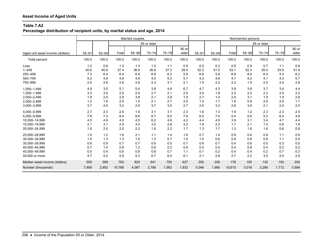**Percentage distribution of recipient units, by marital status and age, 2014**

|                                  |           | Married couples |        |       |             |           |                |           |           |        | Nonmarried persons |             |           |                |
|----------------------------------|-----------|-----------------|--------|-------|-------------|-----------|----------------|-----------|-----------|--------|--------------------|-------------|-----------|----------------|
|                                  |           |                 |        |       | 65 or older |           |                |           |           |        |                    | 65 or older |           |                |
| Aged unit asset income (dollars) | $55 - 61$ | $62 - 64$       | Total  | 65-69 | $70 - 74$   | $75 - 79$ | 80 or<br>older | $55 - 61$ | $62 - 64$ | Total  | 65-69              | $70 - 74$   | $75 - 79$ | 80 or<br>older |
| Total percent                    | 100.0     | 100.0           | 100.0  | 100.0 | 100.0       | 100.0     | 100.0          | 100.0     | 100.0     | 100.0  | 100.0              | 100.0       | 100.0     | 100.0          |
| Loss                             | 1.2       | 0.8             | 1.2    | 1.3   | 1.2         | 1.1       | 0.9            | 0.5       | 0.3       | 0.9    | 0.9                | 0.7         | 1.1       | 0.8            |
| $1 - 249$                        | 40.6      | 40.6            | 37.4   | 36.8  | 36.8        | 37.3      | 39.5           | 52.2      | 51.5      | 53.1   | 52.3               | 55.4        | 53.9      | 51.9           |
| 250-499                          | 7.3       | 6.4             | 6.4    | 6.6   | 6.8         | 6.2       | 5.8            | 6.6       | 5.9       | 6.6    | 8.0                | 6.4         | 5.4       | 6.2            |
| 500-749                          | 5.0       | 4.9             | 4.9    | 4.6   | 4.5         | 5.3       | 5.7            | 4.3       | 4.6       | 4.7    | 4.2                | 4.1         | 4.3       | 5.7            |
| 750-999                          | 2.5       | 2.6             | 2.6    | 2.8   | 2.3         | 3.1       | 2.1            | 1.5       | 2.2       | 2.2    | 1.5                | 2.0         | 2.4       | 2.8            |
| 1,000-1,499                      | 4.9       | 3.5             | 5.1    | 5.4   | 3.8         | 4.8       | 6.7            | 4.7       | 4.3       | 3.9    | 3.8                | 3.7         | 3.4       | 4.4            |
| 1,500-1,999                      | 3.3       | 3.0             | 2.5    | 2.5   | 2.7         | 2.1       | 2.5            | 3.0       | 1.8       | 2.2    | 2.2                | 2.2         | 2.5       | 2.2            |
| 2,000-2,499                      | 1.9       | 2.5             | 2.8    | 3.8   | 2.1         | 2.8       | 1.9            | 2.7       | 1.4       | 2.5    | 3.1                | 1.9         | 1.9       | 2.6            |
| 2,500-2,999                      | 1.2       | 1.6             | 2.0    | 1.5   | 2.1         | 2.7       | 2.0            | 1.5       | 1.7       | 1.6    | 0.9                | 2.0         | 2.0       | 1.7            |
| 3,000-3,999                      | 3.7       | 4.5             | 3.2    | 2.9   | 3.7         | 3.5       | 2.7            | 2.5       | 3.3       | 2.8    | 3.8                | 2.1         | 2.4       | 2.5            |
| 4,000-4,999                      | 2.7       | 2.3             | 2.6    | 1.9   | 3.1         | 3.7       | 2.3            | 1.6       | 1.3       | 1.9    | 1.2                | 2.3         | 2.3       | 2.0            |
| 5,000-9,999                      | 7.6       | 7.3             | 8.4    | 8.6   | 8.7         | 8.5       | 7.6            | 6.5       | 7.0       | 5.4    | 5.6                | 5.3         | 6.4       | 4.8            |
| 10.000-14.999                    | 4.5       | 4.9             | 4.9    | 4.5   | 6.2         | 4.6       | 4.2            | 4.4       | 4.8       | 3.9    | 3.1                | 3.4         | 4.7       | 4.4            |
| 15,000-19,999                    | 2.1       | 3.1             | 2.9    | 3.0   | 3.0         | 2.6       | 3.2            | 1.9       | 2.3       | 1.7    | 2.1                | 1.5         | 0.8       | 1.8            |
| 20,000-24,999                    | 1.8       | 2.0             | 2.0    | 2.2   | 1.8         | 2.2       | 1.7            | 1.3       | 1.7       | 1.2    | 1.6                | 1.6         | 0.6       | 0.8            |
| 25,000-29,999                    | 1.5       | 1.2             | 1.6    | 2.1   | 1.1         | 1.4       | 1.6            | 0.7       | 1.4       | 0.9    | 0.6                | 0.9         | 1.1       | 0.9            |
| 30,000-34,999                    | 1.5       | 1.3             | 1.3    | 1.6   | 1.3         | 0.7       | 1.0            | 1.0       | 0.6       | 0.8    | 0.9                | 0.8         | 1.1       | 0.5            |
| 35,000-39,999                    | 0.6       | 0.9             | 0.7    | 0.7   | 0.6         | 0.5       | 0.7            | 0.6       | 0.7       | 0.4    | 0.6                | 0.0         | 0.3       | 0.5            |
| 40,000-44,999                    | 0.7       | 1.0             | 0.8    | 1.2   | 0.6         | 0.2       | 0.8            | 0.4       | 0.4       | 0.4    | 0.8                | 0.4         | 0.0       | 0.2            |
| 45,000-49,999                    | 0.5       | 0.4             | 0.8    | 0.8   | 0.8         | 0.7       | 1.1            | 0.1       | 0.2       | 0.4    | 0.4                | 0.2         | 0.7       | 0.3            |
| 50,000 or more                   | 4.7       | 5.2             | 5.9    | 5.3   | 6.7         | 6.0       | 6.1            | 2.1       | 2.8       | 2.7    | 2.2                | 3.0         | 2.5       | 2.9            |
| Median asset income (dollars)    | 509       | 589             | 762    | 820   | 841         | 750       | 627            | 200       | 206       | 178    | 195                | 130         | 150       | 200            |
| Number (thousands)               | 7,908     | 2,902           | 10,766 | 4,087 | 2,786       | 1,962     | 1,932          | 5,046     | 1,990     | 10,610 | 3,018              | 2,286       | 1,712     | 3,594          |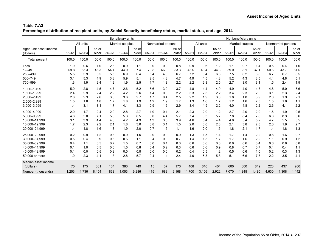**Percentage distribution of recipient units, by Social Security beneficiary status, marital status, and age, 2014**

|                                                                                                     | Beneficiary units<br>Nonbeneficiary units |                                        |                                        |                                        |                                        |                                        |                                        |                                        |                                        |                                        |                                        |                                        |                                        |                                        |                                        |                                        |                                        |                                          |
|-----------------------------------------------------------------------------------------------------|-------------------------------------------|----------------------------------------|----------------------------------------|----------------------------------------|----------------------------------------|----------------------------------------|----------------------------------------|----------------------------------------|----------------------------------------|----------------------------------------|----------------------------------------|----------------------------------------|----------------------------------------|----------------------------------------|----------------------------------------|----------------------------------------|----------------------------------------|------------------------------------------|
|                                                                                                     |                                           | All units                              |                                        |                                        | Married couples                        |                                        |                                        | Nonmarried persons                     |                                        |                                        | All units                              |                                        |                                        | Married couples                        |                                        |                                        | Nonmarried persons                     |                                          |
| Aged unit asset income<br>(dollars)                                                                 | $55 - 61$                                 | $62 - 64$                              | 65 or<br>older                         | $55 - 61$                              | $62 - 64$                              | 65 or<br>older                         | $55 - 61$                              | $62 - 64$                              | 65 or<br>older                         | $55 - 61$                              | $62 - 64$                              | 65 or<br>older                         | $55 - 61$                              | $62 - 64$                              | 65 or<br>older                         | $55 - 61$                              | $62 - 64$                              | 65 or<br>older                           |
| <b>Total percent</b>                                                                                | 100.0                                     | 100.0                                  | 100.0                                  | 100.0                                  | 100.0                                  | 100.0                                  | 100.0                                  | 100.0                                  | 100.0                                  | 100.0                                  | 100.0                                  | 100.0                                  | 100.0                                  | 100.0                                  | 100.0                                  | 100.0                                  | 100.0                                  | 100.0                                    |
| Loss<br>$1 - 249$<br>250-499<br>500-749<br>750-999                                                  | 1.9<br>59.8<br>5.5<br>3.1<br>1.3          | 0.6<br>53.3<br>5.9<br>5.3<br>1.9       | 1.0<br>45.3<br>6.5<br>4.9<br>2.4       | 2.8<br>54.4<br>5.5<br>3.3<br>1.2       | 0.9<br>44.9<br>6.9<br>5.9<br>1.9       | 1.1<br>37.4<br>6.4<br>5.1<br>2.5       | 0.0<br>70.8<br>5.4<br>2.5<br>1.7       | 0.0<br>66.3<br>4.3<br>4.3<br>1.8       | 0.8<br>53.3<br>6.7<br>4.7<br>2.2       | 0.9<br>43.5<br>7.2<br>4.9<br>2.2       | 0.6<br>40.4<br>6.4<br>4.5<br>2.8       | 1.2<br>44.3<br>6.6<br>4.3<br>2.5       | 1.1<br>39.0<br>7.5<br>5.2<br>2.7       | 0.7<br>38.1<br>6.2<br>4.3<br>3.0       | 1.4<br>37.1<br>6.8<br>3.5<br>3.1       | 0.6<br>50.5<br>6.7<br>4.4<br>1.5       | 0.4<br>43.7<br>6.7<br>4.8<br>2.4       | 1.0<br>51.5<br>6.5<br>5.1<br>1.9         |
| 1,000-1,499<br>1,500-1,999<br>2,000-2,499<br>2,500-2,999<br>3,000-3,999                             | 5.0<br>2.4<br>2.6<br>1.5<br>1.4           | 2.8<br>2.9<br>2.3<br>1.8<br>3.1        | 4.5<br>2.4<br>2.6<br>1.8<br>3.1        | 4.7<br>2.9<br>3.0<br>1.7<br>1.7        | 2.6<br>4.2<br>3.6<br>1.8<br>4.1        | 5.2<br>2.6<br>2.7<br>1.9<br>3.3        | 5.6<br>1.4<br>1.7<br>1.2<br>0.9        | 3.0<br>0.8<br>0.4<br>1.9<br>1.6        | 3.7<br>2.2<br>2.5<br>1.7<br>2.9        | 4.8<br>3.3<br>2.2<br>1.3<br>3.4        | 4.4<br>2.3<br>1.9<br>1.6<br>4.5        | 4.9<br>2.2<br>3.0<br>1.7<br>2.2        | 4.9<br>3.4<br>1.8<br>1.2<br>4.0        | 4.0<br>2.3<br>1.8<br>1.6<br>4.8        | 4.3<br>2.0<br>3.9<br>2.3<br>2.2        | 4.6<br>3.1<br>2.8<br>1.5<br>2.6        | 5.0<br>2.3<br>1.9<br>1.6<br>4.1        | 5.6<br>2.4<br>2.1<br>1.1<br>2.2          |
| 4,000-4,999<br>5,000-9,999<br>10.000-14.999<br>15,000-19,999<br>20,000-24,999                       | 2.0<br>4.8<br>3.1<br>1.7<br>1.4           | 1.7<br>5.0<br>3.9<br>2.3<br>1.8        | 2.4<br>7.1<br>4.4<br>2.2<br>1.6        | 2.0<br>5.8<br>4.0<br>2.1<br>1.8        | 2.8<br>5.3<br>4.2<br>1.8<br>1.9        | 2.7<br>8.5<br>4.9<br>3.0<br>2.0        | 1.9<br>3.0<br>1.3<br>0.8<br>0.7        | 0.1<br>4.4<br>3.5<br>3.1<br>1.5        | 2.1<br>5.7<br>3.9<br>1.5<br>1.1        | 2.3<br>7.4<br>4.6<br>2.0<br>1.6        | 2.0<br>8.3<br>5.4<br>3.0<br>2.0        | 1.2<br>5.7<br>4.4<br>2.8<br>1.5        | 2.7<br>7.8<br>4.6<br>2.1<br>1.8        | 2.0<br>8.4<br>5.4<br>3.8<br>2.1        | 2.0<br>7.8<br>5.2<br>2.8<br>1.7        | 1.6<br>6.8<br>4.7<br>2.0<br>1.4        | 1.9<br>8.3<br>5.5<br>1.9<br>1.8        | 0.5<br>3.6<br>3.5<br>2.7<br>1.3          |
| 25,000-29,999<br>30,000-34,999<br>35,000-39,999<br>40.000-44.999<br>45,000-49,999<br>50,000 or more | 0.2<br>0.5<br>0.4<br>0.1<br>0.1<br>1.0    | 0.9<br>0.4<br>1.1<br>1.0<br>0.0<br>2.3 | 1.2<br>0.9<br>0.5<br>0.5<br>0.5<br>4.1 | 0.3<br>0.6<br>0.7<br>0.0<br>0.2<br>1.3 | 0.9<br>0.6<br>1.5<br>1.5<br>0.0<br>2.8 | 1.5<br>1.1<br>0.7<br>0.8<br>0.8<br>5.7 | 0.0<br>0.4<br>0.0<br>0.4<br>0.0<br>0.4 | 0.9<br>0.0<br>0.4<br>0.2<br>0.0<br>1.4 | 0.9<br>0.7<br>0.3<br>0.3<br>0.2<br>2.4 | 1.3<br>1.4<br>0.6<br>0.6<br>0.4<br>4.0 | 1.5<br>1.3<br>0.6<br>0.6<br>0.5<br>5.3 | 1.4<br>1.7<br>0.6<br>0.9<br>1.2<br>5.8 | 1.7<br>1.7<br>0.6<br>0.8<br>0.5<br>5.1 | 1.4<br>1.6<br>0.6<br>0.7<br>0.6<br>6.6 | 2.2<br>2.2<br>0.4<br>0.7<br>1.0<br>7.3 | 0.8<br>1.1<br>0.6<br>0.4<br>0.2<br>2.2 | 1.6<br>0.9<br>0.8<br>0.4<br>0.3<br>3.5 | 0.7<br>1.2<br>0.8<br>$1.1$<br>1.3<br>4.1 |
| Median asset income<br>(dollars)<br>Number (thousands)                                              | 75<br>1,253                               | 175<br>1,736                           | 361<br>18,454                          | 134<br>838                             | 380<br>1,053                           | 749<br>9,286                           | 15<br>415                              | 37<br>683                              | 173<br>9,168                           | 408<br>11,700                          | 640<br>3,156                           | 404<br>2,922                           | 600<br>7,070                           | 800<br>1,848                           | 842<br>1,480                           | 223<br>4,630                           | 437<br>1,308                           | 200<br>1,442                             |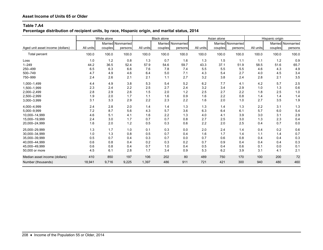**Percentage distribution of recipient units, by race, Hispanic origin, and marital status, 2014**

|                                  |           | White alone |                    |           | <b>Black alone</b> |                    |           | Asian alone |                    |           | Hispanic origin |                    |
|----------------------------------|-----------|-------------|--------------------|-----------|--------------------|--------------------|-----------|-------------|--------------------|-----------|-----------------|--------------------|
|                                  |           |             | Married Nonmarried |           |                    | Married Nonmarried |           |             | Married Nonmarried |           |                 | Married Nonmarried |
| Aged unit asset income (dollars) | All units | couples     | persons            | All units | couples            | persons            | All units | couples     | persons            | All units | couples         | persons            |
| <b>Total percent</b>             | 100.0     | 100.0       | 100.0              | 100.0     | 100.0              | 100.0              | 100.0     | 100.0       | 100.0              | 100.0     | 100.0           | 100.0              |
| Loss                             | 1.0       | 1.2         | 0.8                | 1.3       | 0.7                | 1.6                | 1.3       | 1.5         | 1.1                | 1.1       | 1.2             | 0.9                |
| $1 - 249$                        | 44.2      | 36.5        | 52.4               | 57.9      | 54.6               | 59.7               | 43.3      | 37.1        | 51.9               | 58.5      | 51.6            | 65.7               |
| 250-499                          | 6.5       | 6.3         | 6.6                | 7.6       | 7.8                | 7.4                | 5.5       | 5.5         | 5.5                | 4.6       | 4.3             | 4.9                |
| 500-749                          | 4.7       | 4.9         | 4.6                | 6.4       | 5.0                | 7.1                | 4.3       | 5.4         | 2.7                | 4.0       | 4.5             | 3.4                |
| 750-999                          | 2.4       | 2.6         | 2.1                | 2.1       | 1.1                | 2.7                | 3.2       | 3.8         | 2.4                | 2.8       | 2.1             | 3.5                |
| 1,000-1,499                      | 4.4       | 4.9         | 3.8                | 5.3       | 5.4                | 5.2                | 6.2       | 7.7         | 4.1                | 4.2       | 5.7             | 2.5                |
| 1,500-1,999                      | 2.3       | 2.4         | 2.2                | 2.5       | 2.7                | 2.4                | 3.2       | 3.4         | 2.9                | 1.0       | 1.3             | 0.6                |
| 2,000-2,499                      | 2.8       | 2.9         | 2.6                | 1.5       | 2.0                | 1.2                | 2.5       | 2.7         | 2.2                | 1.8       | 2.5             | 1.0                |
| 2,500-2,999                      | 1.9       | 2.0         | 1.7                | 1.1       | 1.6                | 0.9                | 1.6       | 2.2         | 0.8                | 1.4       | 1.4             | 1.4                |
| 3,000-3,999                      | 3.1       | 3.3         | 2.9                | 2.2       | 2.3                | 2.2                | 1.6       | 2.0         | 1.0                | 2.7       | 3.5             | 1.9                |
| 4,000-4,999                      | 2.4       | 2.8         | 2.0                | 1.4       | 1.4                | 1.3                | 1.3       | 1.4         | 1.3                | 2.2       | 3.1             | 1.3                |
| 5,000-9,999                      | 7.2       | 8.7         | 5.6                | 4.3       | 5.7                | 3.6                | 6.3       | 6.4         | 6.1                | 5.7       | 6.0             | 5.4                |
| 10,000-14,999                    | 4.6       | 5.1         | 4.1                | 1.6       | 2.2                | 1.3                | 4.0       | 4.1         | 3.9                | 3.0       | 3.1             | 2.9                |
| 15,000-19,999                    | 2.4       | 3.0         | 1.7                | 0.7       | 0.7                | 0.8                | 2.7       | 2.5         | 3.0                | 1.3       | 2.3             | 0.4                |
| 20,000-24,999                    | 1.6       | 2.0         | 1.2                | 0.5       | 0.3                | 0.6                | 2.2       | 2.0         | 2.5                | 0.4       | 0.7             | 0.0                |
| 25,000-29,999                    | 1.3       | 1.7         | 1.0                | 0.1       | 0.3                | 0.0                | 2.0       | 2.4         | 1.4                | 0.4       | 0.2             | 0.6                |
| 30,000-34,999                    | 1.0       | 1.3         | 0.8                | 0.5       | 0.7                | 0.4                | 1.6       | 1.7         | 1.4                | 1.1       | 1.4             | 0.7                |
| 35,000-39,999                    | 0.5       | 0.7         | 0.4                | 0.3       | 0.7                | 0.0                | 0.7       | 0.6         | 0.8                | 0.4       | 0.4             | 0.3                |
| 40.000-44.999                    | 0.6       | 0.8         | 0.4                | 0.2       | 0.3                | 0.2                | 0.7       | 0.9         | 0.4                | 0.4       | 0.4             | 0.3                |
| 45,000-49,999                    | 0.6       | 0.8         | 0.4                | 0.7       | 1.0                | 0.4                | 0.5       | 0.4         | 0.6                | 0.1       | 0.0             | 0.1                |
| 50,000 or more                   | 4.5       | 6.1         | 2.8                | 1.7       | 3.4                | 0.9                | 5.3       | 6.2         | 3.9                | 3.1       | 4.1             | 2.1                |
| Median asset income (dollars)    | 410       | 850         | 197                | 106       | 202                | 80                 | 489       | 750         | 170                | 100       | 200             | 72                 |
| Number (thousands)               | 18,941    | 9,716       | 9,225              | 1,397     | 486                | 911                | 721       | 421         | 300                | 940       | 480             | 460                |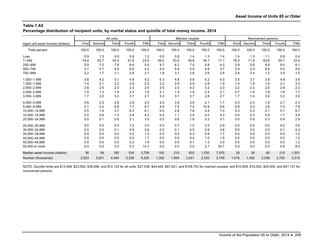**Percentage distribution of recipient units, by marital status and quintile of total money income, 2014**

|                                  |       |        | All units |        |       |       |        | Married couples |        |       |       |        | Nonmarried persons |        |       |
|----------------------------------|-------|--------|-----------|--------|-------|-------|--------|-----------------|--------|-------|-------|--------|--------------------|--------|-------|
| Aged unit asset income (dollars) | First | Second | Third     | Fourth | Fifth | First | Second | Third           | Fourth | Fifth | First | Second | Third              | Fourth | Fifth |
| <b>Total percent</b>             | 100.0 | 100.0  | 100.0     | 100.0  | 100.0 | 100.0 | 100.0  | 100.0           | 100.0  | 100.0 | 100.0 | 100.0  | 100.0              | 100.0  | 100.0 |
| Loss                             | 0.9   | 1.3    | 0.9       | 0.8    | 1.2   | 0.6   | 0.8    | 1.4             | 1.3    | 1.4   | 1.4   | 1.3    | 1.1                | 0.8    | 0.4   |
| $1 - 249$                        | 74.4  | 63.7   | 53.4      | 41.8   | 23.5  | 59.0  | 53.0   | 39.6            | 34.1   | 17.1  | 76.0  | 71.6   | 63.6               | 50.7   | 33.4  |
| 250-499                          | 5.9   | 7.0    | 7.8       | 6.6    | 5.5   | 9.7   | 6.2    | 7.0             | 6.8    | 4.3   | 5.9   | 5.6    | 6.8                | 8.0    | 6.1   |
| 500-749                          | 3.1   | 5.7    | 4.5       | 6.0    | 4.2   | 4.5   | 5.8    | 5.9             | 4.8    | 3.7   | 3.3   | 3.3    | 6.4                | 5.0    | 4.6   |
| 750-999                          | 2.2   | 1.7    | 3.1       | 2.6    | 2.1   | 1.8   | 3.1    | 2.6             | 2.6    | 2.6   | 2.4   | 2.4    | 1.2                | 3.5    | 1.5   |
| 1,000-1,499                      | 3.6   | 4.2    | 5.1       | 4.9    | 4.2   | 6.3   | 4.8    | 5.8             | 5.2    | 4.0   | 3.5   | 3.7    | 3.6                | 4.9    | 3.6   |
| 1,500-1,999                      | 1.4   | 2.1    | 2.2       | 2.9    | 2.5   | 2.2   | 2.9    | 2.5             | 2.9    | 1.9   | 1.4   | 1.8    | 1.6                | 2.1    | 3.3   |
| 2,000-2,499                      | 2.6   | 2.5    | 2.3       | 3.3    | 2.5   | 2.6   | 2.0    | 4.2             | 3.2    | 2.0   | 2.2   | 2.3    | 2.5                | 2.9    | 2.3   |
| 2,500-2,999                      | 1.0   | 1.3    | 1.9       | 2.3    | 1.8   | 2.1   | 1.4    | 1.9             | 2.3    | 2.1   | 0.7   | 1.4    | 1.8                | 1.8    | 1.7   |
| 3,000-3,999                      | 1.7   | 3.0    | 3.2       | 3.7    | 2.7   | 3.3   | 3.7    | 3.7             | 2.8    | 2.7   | 1.7   | 1.4    | 3.4                | 3.2    | 3.0   |
| 4,000-4,999                      | 0.6   | 2.3    | 2.8       | 2.8    | 2.0   | 2.0   | 3.8    | 3.6             | 2.1    | 1.7   | 0.3   | 2.3    | 1.5                | 2.1    | 2.3   |
| 5,000-9,999                      | 2.1   | 3.2    | 6.9       | 7.7    | 9.7   | 4.9   | 7.4    | 7.4             | 10.9   | 9.4   | 0.9   | 2.3    | 3.6                | 7.2    | 7.8   |
| 10,000-14,999                    | 0.5   | 1.4    | 3.7       | 6.3    | 6.1   | 0.5   | 2.6    | 7.6             | 4.4    | 7.0   | 0.3   | 0.3    | 2.1                | 5.1    | 6.7   |
| 15.000-19.999                    | 0.0   | 0.6    | 1.3       | 2.8    | 4.3   | 0.4   | 1.1    | 2.9             | 4.2    | 4.3   | 0.0   | 0.3    | 0.5                | 1.7    | 3.5   |
| 20,000-24,999                    | 0.0   | 0.1    | 0.8       | 2.1    | 3.0   | 0.0   | 0.6    | 1.6             | 3.2    | 3.1   | 0.0   | 0.0    | 0.3                | 0.9    | 2.8   |
| 25,000-29,999                    | 0.0   | 0.0    | 0.4       | 1.2    | 3.0   | 0.0   | 0.7    | 1.0             | 2.4    | 2.9   | 0.0   | 0.0    | 0.0                | 0.2    | 2.6   |
| 30,000-34,999                    | 0.0   | 0.0    | 0.1       | 0.9    | 2.6   | 0.0   | 0.1    | 0.5             | 0.9    | 3.6   | 0.0   | 0.0    | 0.0                | 0.1    | 2.4   |
| 35,000-39,999                    | 0.0   | 0.0    | 0.0       | 0.5    | 1.3   | 0.0   | 0.0    | 0.2             | 0.9    | 1.7   | 0.0   | 0.0    | 0.0                | 0.0    | 1.2   |
| 40,000-44,999                    | 0.0   | 0.0    | 0.0       | 0.4    | 1.7   | 0.0   | 0.0    | 0.4             | 1.0    | 1.8   | 0.0   | 0.0    | 0.0                | 0.0    | 1.2   |
| 45,000-49,999                    | 0.0   | 0.0    | 0.0       | 0.2    | 1.9   | 0.0   | 0.0    | 0.1             | 1.3    | 2.0   | 0.0   | 0.0    | 0.0                | 0.0    | 1.2   |
| 50,000 or more                   | 0.0   | 0.0    | 0.0       | 0.3    | 14.3  | 0.0   | 0.0    | 0.0             | 2.7    | 20.7  | 0.0   | 0.0    | 0.0                | 0.0    | 8.5   |
| Median asset income (dollars)    | 36    | 58     | 185       | 534    | 3,756 | 100   | 210    | 602             | 1,030  | 7,975 | 28    | 28     | 60                 | 210    | 1,501 |
| Number (thousands)               | 2,023 | 3,201  | 4,494     | 5,338  | 6,320 | 1,302 | 1,954  | 2,241           | 2,520  | 2,749 | 1,016 | 1,492  | 2,038              | 2,750  | 3,315 |

NOTE: Quintile limits are \$13,499, \$23,592, \$39,298, and \$72,129 for all units; \$27,538, \$44,424, \$67,621, and \$108,703 for married couples; and \$10,859, \$16,552, \$24,400, and \$41,151 for nonmarried persons.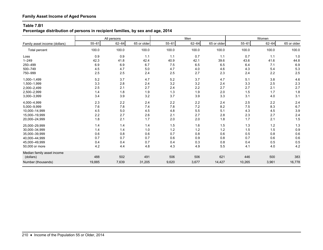**Percentage distribution of persons in recipient families, by sex and age, 2014**

|                               |           | All persons |             |           | Men       |             |           | Women     |             |
|-------------------------------|-----------|-------------|-------------|-----------|-----------|-------------|-----------|-----------|-------------|
| Family asset income (dollars) | $55 - 61$ | $62 - 64$   | 65 or older | $55 - 61$ | $62 - 64$ | 65 or older | $55 - 61$ | $62 - 64$ | 65 or older |
| Total percent                 | 100.0     | 100.0       | 100.0       | 100.0     | 100.0     | 100.0       | 100.0     | 100.0     | 100.0       |
| Loss                          | 0.9       | 0.9         | 1.1         | 1.1       | 0.7       | 1.1         | 0.7       | 1.1       | 1.0         |
| $1 - 249$                     | 42.3      | 41.8        | 42.4        | 40.9      | 42.1      | 39.6        | 43.6      | 41.6      | 44.8        |
| 250-499                       | 6.9       | 6.9         | 6.7         | 7.5       | 6.5       | 6.5         | 6.4       | 7.1       | 6.9         |
| 500-749                       | 4.5       | 4.7         | 5.0         | 4.7       | 4.0       | 4.6         | 4.3       | 5.4       | 5.3         |
| 750-999                       | 2.5       | 2.5         | 2.4         | 2.5       | 2.7       | 2.3         | 2.4       | 2.2       | 2.5         |
| 1,000-1,499                   | 5.2       | 3.7         | 4.7         | 5.2       | 3.7       | 4.7         | 5.1       | 3.8       | 4.6         |
| 1,500-1,999                   | 3.3       | 2.8         | 2.4         | 3.2       | 3.2       | 2.4         | 3.3       | 2.5       | 2.3         |
| 2,000-2,499                   | 2.5       | 2.1         | 2.7         | 2.4       | 2.2       | 2.7         | 2.7       | 2.1       | 2.7         |
| 2,500-2,999                   | 1.4       | 1.8         | 1.9         | 1.3       | 1.9       | 2.0         | 1.5       | 1.7       | 1.8         |
| 3,000-3,999                   | 3.4       | 3.9         | 3.2         | 3.7       | 3.9       | 3.3         | 3.1       | 4.0       | 3.1         |
| 4.000-4.999                   | 2.3       | 2.2         | 2.4         | 2.2       | 2.2       | 2.4         | 2.5       | 2.2       | 2.4         |
| 5,000-9,999                   | 7.6       | 7.8         | 7.4         | 7.8       | 7.2       | 8.2         | 7.5       | 8.3       | 6.7         |
| 10,000-14,999                 | 4.5       | 5.0         | 4.5         | 4.8       | 5.5       | 5.1         | 4.3       | 4.5       | 3.9         |
| 15,000-19,999                 | 2.2       | 2.7         | 2.6         | 2.1       | 2.7       | 2.8         | 2.3       | 2.7       | 2.4         |
| 20,000-24,999                 | 1.8       | 2.1         | 1.7         | 2.0       | 2.0       | 1.8         | 1.7       | 2.1       | 1.5         |
| 25,000-29,999                 | 1.4       | 1.4         | 1.4         | 1.5       | 1.6       | 1.5         | 1.3       | 1.2       | 1.3         |
| 30,000-34,999                 | 1.4       | 1.4         | 1.0         | 1.2       | 1.2       | $1.2$       | 1.5       | 1.5       | 0.9         |
| 35,000-39,999                 | 0.6       | 0.8         | 0.6         | 0.7       | 0.8       | 0.6         | 0.5       | 0.8       | 0.6         |
| 40.000-44.999                 | 0.7       | 0.7         | 0.7         | 0.6       | 0.9       | 0.8         | 0.7       | 0.6       | 0.6         |
| 45,000-49,999                 | 0.4       | 0.4         | 0.7         | 0.4       | 0.3       | 0.8         | 0.4       | 0.5       | 0.5         |
| 50,000 or more                | 4.2       | 4.4         | 4.8         | 4.3       | 4.9       | 5.5         | 4.1       | 4.0       | 4.2         |
| Median family asset income    |           |             |             |           |           |             |           |           |             |
| (dollars)                     | 488       | 502         | 491         | 506       | 506       | 621         | 446       | 500       | 383         |
| Number (thousands)            | 19,885    | 7,639       | 31,205      | 9,620     | 3,677     | 14,427      | 10,265    | 3,961     | 16,778      |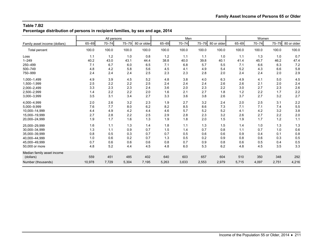**Percentage distribution of persons in recipient families, by sex and age, 2014**

|                               |        | All persons |       |             |       | Men       |       |             |       | Women     |           |             |
|-------------------------------|--------|-------------|-------|-------------|-------|-----------|-------|-------------|-------|-----------|-----------|-------------|
| Family asset income (dollars) | 65-69  | $70 - 74$   | 75-79 | 80 or older | 65-69 | $70 - 74$ | 75-79 | 80 or older | 65-69 | $70 - 74$ | $75 - 79$ | 80 or older |
| <b>Total percent</b>          | 100.0  | 100.0       | 100.0 | 100.0       | 100.0 | 100.0     | 100.0 | 100.0       | 100.0 | 100.0     | 100.0     | 100.0       |
| Loss                          | 1.1    | 1.2         | 1.0   | 0.8         | 1.2   | 1.1       | 1.1   | 1.0         | 1.1   | 1.3       | 1.0       | 0.7         |
| $1 - 249$                     | 40.2   | 43.0        | 43.1  | 44.4        | 38.8  | 40.0      | 39.8  | 40.1        | 41.4  | 45.7      | 46.2      | 47.4        |
| 250-499                       | 7.1    | 6.7         | 6.0   | 6.5         | 7.1   | 6.8       | 5.7   | 5.5         | 7.1   | 6.6       | 6.3       | 7.2         |
| 500-749                       | 4.8    | 4.2         | 5.8   | 5.6         | 4.5   | 4.1       | 4.9   | 5.4         | 5.2   | 4.3       | 6.6       | 5.8         |
| 750-999                       | 2.4    | 2.4         | 2.4   | 2.5         | 2.3   | 2.3       | 2.8   | 2.0         | 2.4   | 2.4       | 2.0       | 2.9         |
| 1,000-1,499                   | 4.9    | 3.9         | 4.5   | 5.2         | 4.8   | 3.8       | 4.0   | 6.3         | 4.9   | 4.1       | 5.0       | 4.5         |
| 1,500-1,999                   | 2.5    | 2.2         | 2.2   | 2.5         | 2.4   | 2.4       | 2.4   | 2.6         | 2.6   | 2.1       | 2.0       | 2.4         |
| 2,000-2,499                   | 3.3    | 2.3         | 2.3   | 2.4         | 3.6   | 2.0       | 2.3   | 2.2         | 3.0   | 2.7       | 2.3       | 2.6         |
| 2,500-2,999                   | 1.4    | 2.2         | 2.2   | 2.0         | 1.6   | 2.1       | 2.7   | 1.8         | 1.2   | 2.2       | 1.7       | 2.2         |
| 3,000-3,999                   | 3.5    | 3.1         | 3.4   | 2.7         | 3.3   | 3.6       | 3.8   | 2.6         | 3.7   | 2.7       | 3.2       | 2.7         |
| 4,000-4,999                   | 2.0    | 2.6         | 3.2   | 2.3         | 1.9   | 2.7       | 3.2   | 2.4         | 2.0   | 2.5       | 3.1       | 2.2         |
| 5,000-9,999                   | 7.6    | 7.7         | 8.0   | 6.2         | 8.2   | 8.5       | 8.6   | 7.3         | 7.1   | 7.1       | 7.4       | 5.5         |
| 10,000-14,999                 | 4.4    | 4.9         | 4.2   | 4.4         | 4.6   | 5.7       | 5.2   | 5.2         | 4.1   | 4.2       | 3.2       | 3.8         |
| 15,000-19,999                 | 2.7    | 2.8         | 2.2   | 2.5         | 2.9   | 2.8       | 2.3   | 3.2         | 2.6   | 2.7       | 2.2       | 2.0         |
| 20,000-24,999                 | 1.9    | 1.7         | 1.6   | 1.3         | 1.9   | 1.8       | 2.0   | 1.5         | 1.9   | 1.7       | 1.2       | 1.1         |
| 25,000-29,999                 | 1.6    | 1.1         | 1.3   | 1.4         | 1.8   | 1.1       | 1.3   | 1.5         | 1.4   | 1.0       | 1.3       | 1.3         |
| 30,000-34,999                 | 1.3    | 1.1         | 0.9   | 0.7         | 1.5   | 1.4       | 0.7   | 0.8         | 1.1   | 0.7       | 1.0       | 0.6         |
| 35,000-39,999                 | 0.8    | 0.5         | 0.3   | 0.7         | 0.7   | 0.5       | 0.6   | 0.6         | 0.9   | 0.4       | 0.1       | 0.8         |
| 40,000-44,999                 | 1.0    | 0.6         | 0.2   | 0.7         | 1.3   | 0.5       | 0.2   | 0.9         | 0.8   | 0.6       | 0.3       | 0.5         |
| 45,000-49,999                 | 0.7    | 0.6         | 0.6   | 0.6         | 0.8   | 0.7       | 0.9   | 0.8         | 0.6   | 0.5       | 0.4       | 0.5         |
| 50,000 or more                | 4.8    | 5.2         | 4.4   | 4.5         | 4.8   | 6.0       | 5.3   | 6.2         | 4.8   | 4.5       | 3.5       | 3.3         |
| Median family asset income    |        |             |       |             |       |           |       |             |       |           |           |             |
| (dollars)                     | 559    | 451         | 485   | 402         | 640   | 603       | 657   | 604         | 510   | 350       | 348       | 292         |
| Number (thousands)            | 10,978 | 7,729       | 5,304 | 7,195       | 5,263 | 3,633     | 2,553 | 2,979       | 5,715 | 4,097     | 2,751     | 4,216       |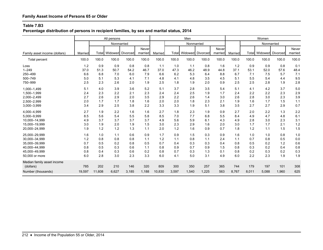**Percentage distribution of persons in recipient families, by sex and marital status, 2014**

|                                                                                                     |                                        | All persons                            |                                        |                                        |                                        |                                        |                                        | Men                                    |                                        |                                        |                                        |                                        | Women                                  |                                        |                                        |
|-----------------------------------------------------------------------------------------------------|----------------------------------------|----------------------------------------|----------------------------------------|----------------------------------------|----------------------------------------|----------------------------------------|----------------------------------------|----------------------------------------|----------------------------------------|----------------------------------------|----------------------------------------|----------------------------------------|----------------------------------------|----------------------------------------|----------------------------------------|
|                                                                                                     |                                        |                                        | Nonmarried                             |                                        |                                        |                                        |                                        | Nonmarried                             |                                        |                                        |                                        |                                        |                                        | Nonmarried                             |                                        |
| Family asset income (dollars)                                                                       | Married                                | Total                                  | Widowed Divorced                       |                                        | Never<br>married                       | Married                                |                                        | Total Widowed Divorced                 |                                        | Never<br>married                       | Married                                |                                        | Total Widowed                          | Divorced                               | Never<br>married                       |
| <b>Total percent</b>                                                                                | 100.0                                  | 100.0                                  | 100.0                                  | 100.0                                  | 100.0                                  | 100.0                                  | 100.0                                  | 100.0                                  | 100.0                                  | 100.0                                  | 100.0                                  | 100.0                                  | 100.0                                  | 100.0                                  | 100.0                                  |
| Loss<br>$1 - 249$<br>250-499<br>500-749<br>750-999                                                  | 1.2<br>37.0<br>6.6<br>5.0<br>2.5       | 0.9<br>51.3<br>6.8<br>5.1<br>2.3       | 0.9<br>50.7<br>7.0<br>5.3<br>2.6       | 0.8<br>54.2<br>6.0<br>4.1<br>2.0       | 0.8<br>46.7<br>7.9<br>7.1<br>1.9       | 1.1<br>37.0<br>6.6<br>4.8<br>2.5       | 1.0<br>47.3<br>6.2<br>4.1<br>1.8       | 1.1<br>46.2<br>5.3<br>4.8<br>1.9       | 0.8<br>48.9<br>6.4<br>3.5<br>2.0       | 1.6<br>44.8<br>8.8<br>4.5<br>0.9       | 1.2<br>37.1<br>6.7<br>5.1<br>2.5       | 0.9<br>53.1<br>7.1<br>5.5<br>2.5       | 0.9<br>52.0<br>7.5<br>5.4<br>2.8       | 0.8<br>57.6<br>5.7<br>4.4<br>1.9       | 0.1<br>48.4<br>7.1<br>9.5<br>2.8       |
| 1,000-1,499<br>1,500-1,999<br>2,000-2,499<br>2,500-2,999<br>3,000-3,999                             | 5.1<br>2.4<br>2.7<br>2.0<br>3.4        | 4.0<br>2.3<br>2.6<br>1.7<br>2.9        | 3.9<br>2.2<br>2.9<br>1.7<br>2.5        | 3.6<br>2.1<br>2.0<br>1.8<br>3.8        | 5.2<br>2.3<br>3.5<br>1.6<br>2.2        | 5.1<br>2.4<br>2.9<br>2.0<br>3.3        | 3.7<br>2.4<br>2.2<br>2.0<br>3.3        | 2.8<br>2.5<br>2.6<br>1.8<br>1.9        | 3.5<br>1.9<br>1.4<br>2.3<br>5.1        | 5.4<br>1.7<br>3.0<br>2.1<br>3.8        | 5.1<br>2.4<br>2.6<br>1.9<br>3.5        | 4.1<br>2.2<br>2.8<br>1.6<br>2.7        | 4.2<br>2.2<br>3.0<br>1.7<br>2.7        | 3.7<br>2.3<br>2.3<br>1.5<br>2.9        | 5.0<br>2.9<br>3.9<br>1.1<br>0.7        |
| 4,000-4,999<br>5,000-9,999<br>10,000-14,999<br>15,000-19,999<br>20,000-24,999                       | 2.7<br>8.5<br>4.9<br>3.0<br>1.9        | 1.9<br>5.6<br>3.7<br>1.9<br>1.2        | 2.2<br>5.4<br>3.7<br>2.0<br>1.2        | 1.6<br>5.5<br>3.7<br>1.9<br>1.3        | 1.6<br>5.8<br>3.7<br>1.5<br>1.1        | 2.7<br>8.5<br>4.9<br>3.0<br>2.0        | 1.8<br>7.0<br>5.6<br>2.3<br>1.2        | 2.3<br>7.7<br>5.9<br>2.9<br>1.6        | 1.9<br>6.8<br>6.1<br>1.6<br>0.9        | 0.9<br>5.5<br>4.3<br>2.0<br>0.7        | 2.7<br>8.4<br>4.9<br>3.0<br>1.8        | 2.0<br>4.9<br>2.8<br>1.7<br>1.2        | 2.2<br>4.7<br>3.0<br>1.7<br>1.1        | 1.3<br>4.8<br>2.3<br>2.1<br>1.5        | 2.2<br>6.1<br>3.1<br>1.2<br>1.5        |
| 25,000-29,999<br>30,000-34,999<br>35,000-39,999<br>40,000-44,999<br>45,000-49,999<br>50,000 or more | 1.6<br>1.2<br>0.7<br>0.8<br>0.8<br>6.0 | 1.0<br>0.8<br>0.5<br>0.5<br>0.4<br>2.8 | 1.1<br>0.8<br>0.2<br>0.3<br>0.3<br>3.0 | 0.6<br>0.8<br>0.8<br>0.6<br>0.6<br>2.3 | 0.9<br>1.1<br>0.5<br>1.1<br>0.2<br>3.3 | 1.7<br>1.2<br>0.7<br>0.8<br>0.8<br>6.0 | 0.9<br>1.1<br>0.4<br>0.9<br>0.7<br>4.1 | 1.5<br>0.8<br>0.3<br>0.7<br>0.3<br>5.0 | 0.3<br>1.1<br>0.3<br>0.9<br>1.3<br>3.1 | 0.9<br>2.4<br>0.4<br>1.5<br>0.1<br>4.9 | 1.6<br>1.1<br>0.8<br>0.8<br>0.8<br>6.0 | 1.0<br>0.7<br>0.5<br>0.3<br>0.2<br>2.2 | 1.0<br>0.8<br>0.2<br>0.2<br>0.3<br>2.3 | 0.8<br>0.5<br>1.2<br>0.4<br>0.2<br>1.9 | 1.0<br>0.0<br>0.6<br>0.8<br>0.3<br>1.9 |
| Median family asset income<br>(dollars)<br>Number (thousands)                                       | 785<br>19,597                          | 202<br>11,608                          | 210<br>6,627                           | 146<br>3,185                           | 320<br>1,188                           | 809<br>10,830                          | 300<br>3,597                           | 350<br>1,540                           | 257<br>1,225                           | 365<br>563                             | 744<br>8,767                           | 179<br>8,011                           | 197<br>5,088                           | 101<br>1,960                           | 308<br>625                             |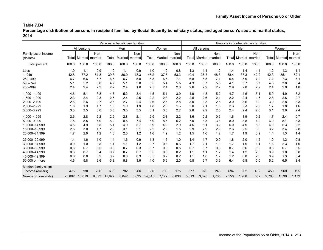**Percentage distribution of persons in recipient families, by Social Security beneficiary status, and aged person's sex and marital status, 2014**

|                                  |        | Persons in beneficiary families |       |        |                       |       |        |                 |       |       |                       |       |       |                       | Persons in nonbeneficiary families |       |                                |       |
|----------------------------------|--------|---------------------------------|-------|--------|-----------------------|-------|--------|-----------------|-------|-------|-----------------------|-------|-------|-----------------------|------------------------------------|-------|--------------------------------|-------|
|                                  |        | All persons                     |       |        | Men                   |       |        | Women           |       |       | All persons           |       |       | Men                   |                                    |       | Women                          |       |
| Family asset income<br>(dollars) | Total  | Married married                 | Non-  |        | Total Married married | Non-  | Total  | Married married | Non-  |       | Total Married married | Non-  |       | Total Married married | Non-                               |       | <b>Totall Marriedl married</b> | Non-  |
| Total percent                    | 100.0  | 100.0                           | 100.0 | 100.0  | 100.0                 | 100.0 | 100.0  | 100.0           | 100.0 | 100.0 | 100.0                 | 100.0 | 100.0 | 100.0                 | 100.0                              | 100.0 | 100.0                          | 100.0 |
| Loss                             | 1.0    | 1.1                             | 0.9   | 1.0    | 1.1                   | 0.9   | 1.0    | 1.2             | 0.8   | 1.3   | 1.4                   | 1.2   | 1.4   | 1.4                   | 1.4                                | 1.2   | 1.3                            | 1.1   |
| $1 - 249$                        | 42.8   | 37.2                            | 51.8  | 39.8   | 36.9                  | 48.3  | 45.2   | 37.5            | 53.3  | 40.4  | 36.3                  | 48.8  | 38.4  | 37.3                  | 42.0                               | 42.3  | 35.1                           | 52.1  |
| 250-499                          | 6.7    | 6.6                             | 6.7   | 6.5    | 6.7                   | 5.8   | 6.8    | 6.6             | 7.1   | 6.8   | 6.5                   | 7.4   | 6.4   | 5.9                   | 7.9                                | 7.2   | 7.3                            | 7.1   |
| 500-749                          | 5.1    | 5.2                             | 5.0   | 4.7    | 5.1                   | 3.8   | 5.5    | 5.4             | 5.5   | 4.3   | 3.7                   | 5.5   | 4.1   | 3.7                   | 5.7                                | 4.5   | 3.8                            | 5.4   |
| 750-999                          | 2.4    | 2.4                             | 2.3   | 2.2    | 2.4                   | 1.6   | 2.5    | 2.4             | 2.6   | 2.6   | 2.9                   | 2.2   | 2.9   | 2.8                   | 2.9                                | 2.4   | 2.9                            | 1.8   |
| 1,000-1,499                      | 4.6    | 5.1                             | 3.8   | 4.7    | 5.2                   | 3.4   | 4.5    | 5.1             | 3.9   | 4.9   | 4.8                   | 5.2   | 4.7   | 4.6                   | 5.1                                | 5.0   | 4.9                            | 5.2   |
| 1,500-1,999                      | 2.3    | 2.4                             | 2.3   | 2.5    | 2.4                   | 2.5   | 2.2    | 2.3             | 2.2   | 2.5   | 2.6                   | 2.4   | 2.2   | 2.4                   | 1.6                                | 2.8   | 2.8                            | 2.7   |
| 2,000-2,499                      | 2.6    | 2.6                             | 2.7   | 2.6    | 2.7                   | 2.4   | 2.6    | 2.5             | 2.8   | 3.0   | 3.3                   | 2.5   | 3.0   | 3.6                   | 1.0                                | 3.0   | 2.8                            | 3.3   |
| 2,500-2,999                      | 1.8    | 1.9                             | 1.7   | 1.9    | 1.9                   | 1.9   | 1.8    | 2.0             | 1.6   | 2.0   | 2.1                   | 1.8   | 2.3   | 2.3                   | 2.2                                | 1.7   | 1.8                            | 1.6   |
| 3,000-3,999                      | 3.3    | 3.5                             | 3.0   | 3.5    | 3.5                   | 3.5   | 3.1    | 3.5             | 2.7   | 2.8   | 2.9                   | 2.5   | 2.4   | 2.4                   | 2.6                                | 3.1   | 3.6                            | 2.4   |
| 4,000-4,999                      | 2.6    | 2.8                             | 2.2   | 2.6    | 2.8                   | 2.1   | 2.5    | 2.8             | 2.2   | 1.6   | 2.2                   | 0.6   | 1.6   | 1.9                   | 0.2                                | 1.7   | 2.4                            | 0.7   |
| 5,000-9,999                      | 7.5    | 8.5                             | 5.9   | 8.2    | 8.5                   | 7.4   | 6.9    | 8.5             | 5.2   | 7.0   | 8.5                   | 3.8   | 8.0   | 8.8                   | 4.9                                | 6.0   | 8.1                            | 3.3   |
| 10,000-14,999                    | 4.5    | 4.9                             | 3.8   | 5.1    | 4.9                   | 5.7   | 3.9    | 4.9             | 2.9   | 4.5   | 5.1                   | 3.2   | 5.0   | 4.9                   | 5.3                                | 4.0   | 5.3                            | 2.2   |
| 15.000-19.999                    | 2.5    | 3.0                             | 1.7   | 2.9    | 3.1                   | 2.1   | 2.2    | 2.9             | 1.5   | 2.9   | 2.9                   | 2.9   | 2.6   | 2.5                   | 3.0                                | 3.2   | 3.4                            | 2.8   |
| 20,000-24,999                    | 1.7    | 2.0                             | 1.2   | 1.8    | 2.0                   | 1.2   | 1.6    | 1.9             | 1.2   | 1.5   | 1.6                   | 1.2   | 1.7   | 1.9                   | 0.9                                | 1.4   | 1.3                            | 1.4   |
| 25,000-29,999                    | 1.4    | 1.6                             | 1.0   | 1.4    | 1.6                   | 0.9   | 1.3    | 1.6             | 1.0   | 1.4   | 1.7                   | 0.9   | 1.8   | 2.0                   | 1.2                                | 1.0   | 1.2                            | 0.8   |
| 30.000-34.999                    | 0.9    | 1.0                             | 0.8   | 1.1    | 1.1                   | 1.2   | 0.7    | 0.8             | 0.6   | 1.7   | 2.1                   | 1.0   | 1.7   | 1.9                   | 1.1                                | 1.8   | 2.3                            | 1.0   |
| 35.000-39.999                    | 0.6    | 0.7                             | 0.5   | 0.6    | 0.7                   | 0.3   | 0.7    | 0.8             | 0.5   | 0.7   | 0.7                   | 0.6   | 0.7   | 0.6                   | 0.9                                | 0.6   | 0.7                            | 0.5   |
| 40,000-44,999                    | 0.6    | 0.7                             | 0.4   | 0.7    | 0.7                   | 0.7   | 0.5    | 0.8             | 0.2   | 1.1   | 1.1                   | 1.2   | 1.4   | 1.2                   | 2.0                                | 0.9   | 1.0                            | 0.8   |
| 45,000-49,999                    | 0.6    | 0.8                             | 0.2   | 0.7    | 0.8                   | 0.3   | 0.5    | 0.7             | 0.2   | 1.1   | 1.0                   | 1.2   | 1.2   | 0.8                   | 2.8                                | 0.9   | 1.3                            | 0.4   |
| 50,000 or more                   | 4.6    | 5.8                             | 2.6   | 5.3    | 5.8                   | 3.9   | 4.0    | 5.9             | 2.0   | 5.8   | 6.7                   | 3.9   | 6.4   | 6.8                   | 5.0                                | 5.2   | 6.5                            | 3.4   |
| Median family asset              |        |                                 |       |        |                       |       |        |                 |       |       |                       |       |       |                       |                                    |       |                                |       |
| income (dollars)                 | 475    | 730                             | 200   | 605    | 782                   | 266   | 360    | 700             | 175   | 577   | 920                   | 248   | 694   | 902                   | 432                                | 450   | 960                            | 195   |
| Number (thousands)               | 25,892 | 16,019                          | 9,873 | 11.877 | 8.842                 | 3,035 | 14,015 | 7,177           | 6.838 | 5,313 | 3,578                 | 1,735 | 2.550 | 1,988                 | 562                                | 2,763 | 1,590                          | 1,173 |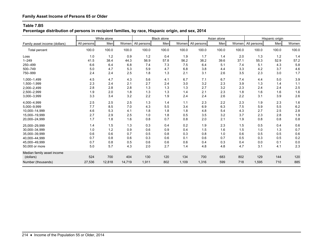# **Percentage distribution of persons in recipient families, by race, Hispanic origin, and sex, 2014**

|                               |             | White alone |        |             | <b>Black alone</b> |       |             | Asian alone |       |             | Hispanic origin |       |
|-------------------------------|-------------|-------------|--------|-------------|--------------------|-------|-------------|-------------|-------|-------------|-----------------|-------|
| Family asset income (dollars) | All persons | Menl        | Women  | All persons | Men                | Women | All persons | Men         | Women | All persons | Menl            | Women |
| Total percent                 | 100.0       | 100.0       | 100.0  | 100.0       | 100.0              | 100.0 | 100.0       | 100.0       | 100.0 | 100.0       | 100.0           | 100.0 |
| Loss                          | 1.0         | 1.2         | 0.9    | 1.2         | 0.4                | 1.9   | 1.7         | 1.4         | 2.0   | 1.3         | 1.2             | 1.4   |
| $1 - 249$                     | 41.5        | 38.4        | 44.3   | 56.9        | 57.8               | 56.2  | 38.2        | 39.6        | 37.1  | 55.3        | 52.9            | 57.2  |
| 250-499                       | 6.6         | 6.4         | 6.8    | 7.4         | 7.3                | 7.5   | 6.4         | 5.1         | 7.4   | 5.1         | 4.3             | 5.8   |
| 500-749                       | 5.0         | 4.7         | 5.3    | 5.9         | 4.7                | 6.8   | 3.8         | 4.4         | 3.3   | 4.2         | 3.7             | 4.6   |
| 750-999                       | 2.4         | 2.4         | 2.5    | 1.8         | 1.3                | 2.1   | 3.1         | 2.6         | 3.5   | 2.3         | 3.0             | 1.7   |
| 1,000-1,499                   | 4.5         | 4.7         | 4.3    | 5.6         | 4.1                | 6.7   | 7.1         | 6.7         | 7.4   | 4.4         | 5.0             | 3.9   |
| 1,500-1,999                   | 2.3         | 2.4         | 2.1    | 2.7         | 2.4                | 3.0   | 3.2         | 2.3         | 3.9   | 1.3         | 1.4             | $1.1$ |
| 2,000-2,499                   | 2.8         | 2.8         | 2.8    | 1.3         | 1.3                | 1.3   | 2.7         | 3.2         | 2.3   | 2.4         | 2.4             | 2.5   |
| 2,500-2,999                   | 1.9         | 2.0         | 1.8    | 1.3         | 1.3                | 1.4   | 2.1         | 2.3         | 1.8   | 1.6         | 1.6             | 1.6   |
| 3,000-3,999                   | 3.3         | 3.4         | 3.2    | 2.2         | 1.9                | 2.4   | 2.4         | 2.6         | 2.2   | 3.1         | 3.9             | 2.6   |
| 4,000-4,999                   | 2.5         | 2.5         | 2.5    | 1.3         | 1.4                | 1.1   | 2.3         | 2.2         | 2.3   | 1.9         | 2.3             | 1.6   |
| 5,000-9,999                   | 7.7         | 8.5         | 7.0    | 4.3         | 5.5                | 3.4   | 6.9         | 6.3         | 7.5   | 5.9         | 5.5             | 6.2   |
| 10.000-14.999                 | 4.6         | 5.3         | 4.1    | 1.8         | 1.8                | 1.8   | 4.8         | 5.4         | 4.3   | 2.7         | 2.5             | 2.8   |
| 15,000-19,999                 | 2.7         | 2.9         | 2.5    | 1.0         | 1.8                | 0.5   | 3.5         | 3.2         | 3.7   | 2.3         | 2.8             | 1.9   |
| 20,000-24,999                 | 1.7         | 1.8         | 1.6    | 0.8         | 0.7                | 0.8   | 2.0         | 2.1         | 1.9   | 0.8         | 0.8             | 0.8   |
| 25,000-29,999                 | 1.4         | 1.5         | 1.3    | 0.3         | 0.4                | 0.2   | 1.9         | 2.3         | 1.5   | 0.5         | 0.4             | 0.6   |
| 30.000-34.999                 | 1.0         | 1.2         | 0.9    | 0.6         | 0.9                | 0.4   | 1.5         | 1.6         | 1.5   | 1.0         | 1.3             | 0.7   |
| 35,000-39,999                 | 0.6         | 0.6         | 0.7    | 0.5         | 0.8                | 0.3   | 0.8         | 1.0         | 0.6   | 0.5         | 0.5             | 0.6   |
| 40.000-44.999                 | 0.7         | 0.8         | 0.6    | 0.3         | 0.6                | 0.1   | 0.6         | 0.7         | 0.5   | 0.3         | 0.5             | 0.2   |
| 45,000-49,999                 | 0.7         | 0.8         | 0.5    | 0.6         | 0.6                | 0.6   | 0.4         | 0.3         | 0.4   | 0.0         | 0.1             | 0.0   |
| 50,000 or more                | 5.0         | 5.7         | 4.3    | 2.0         | 2.7                | 1.4   | 4.8         | 4.8         | 4.7   | 3.1         | 4.1             | 2.3   |
| Median family asset income    |             |             |        |             |                    |       |             |             |       |             |                 |       |
| (dollars)                     | 524         | 700         | 404    | 130         | 120                | 134   | 700         | 683         | 802   | 129         | 144             | 120   |
| Number (thousands)            | 27,536      | 12,818      | 14,719 | 1,911       | 802                | 1,109 | 1,316       | 599         | 718   | 1,595       | 710             | 885   |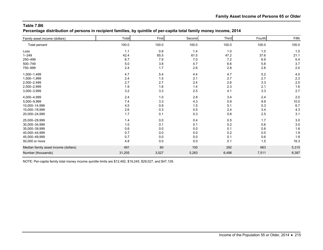**Percentage distribution of persons in recipient families, by quintile of per-capita total family money income, 2014**

| Family asset income (dollars)        | Total  | First | Second | Third | Fourth | Fifth |
|--------------------------------------|--------|-------|--------|-------|--------|-------|
| Total percent                        | 100.0  | 100.0 | 100.0  | 100.0 | 100.0  | 100.0 |
| Loss                                 | 1.1    | 0.9   | 1.4    | 1.0   | 1.0    | 1.0   |
| $1 - 249$                            | 42.4   | 65.5  | 61.5   | 47.2  | 37.6   | 21.1  |
| 250-499                              | 6.7    | 7.9   | 7.0    | 7.2   | 6.9    | 5.4   |
| 500-749                              | 5.0    | 3.8   | 4.7    | 6.6   | 5.8    | 3.7   |
| 750-999                              | 2.4    | 1.7   | 2.6    | 2.8   | 2.8    | 2.0   |
| 1,000-1,499                          | 4.7    | 5.4   | 4.4    | 4.7   | 5.2    | 4.0   |
| 1,500-1,999                          | 2.4    | 1.5   | 2.1    | 2.7   | 2.7    | 2.3   |
| 2,000-2,499                          | 2.7    | 2.7   | 2.4    | 2.6   | 3.3    | 2.5   |
| 2,500-2,999                          | 1.9    | 1.6   | 1.4    | 2.3   | 2.1    | 1.6   |
| 3,000-3,999                          | 3.2    | 3.3   | 2.5    | 4.1   | 3.3    | 2.7   |
| 4,000-4,999                          | 2.4    | 1.0   | 2.8    | 3.4   | 2.4    | 2.0   |
| 5,000-9,999                          | 7.4    | 3.3   | 4.3    | 5.9   | 9.9    | 10.0  |
| 10,000-14,999                        | 4.5    | 0.9   | 1.5    | 5.1   | 5.3    | 6.7   |
| 15,000-19,999                        | 2.6    | 0.3   | 0.5    | 2.4   | 3.4    | 4.3   |
| 20,000-24,999                        | 1.7    | 0.1   | 0.3    | 0.8   | 2.5    | 3.1   |
| 25,000-29,999                        | 1.4    | 0.0   | 0.4    | 0.5   | 1.7    | 3.0   |
| 30,000-34,999                        | 1.0    | 0.1   | 0.1    | 0.2   | 0.6    | 3.0   |
| 35,000-39,999                        | 0.6    | 0.0   | 0.0    | 0.1   | 0.8    | 1.6   |
| 40,000-44,999                        | 0.7    | 0.0   | 0.0    | 0.2   | 0.5    | 1.9   |
| 45,000-49,999                        | 0.7    | 0.0   | 0.0    | 0.1   | 0.6    | 1.8   |
| 50,000 or more                       | 4.8    | 0.0   | 0.0    | 0.1   | 1.5    | 16.3  |
| Median family asset income (dollars) | 491    | 60    | 100    | 292   | 663    | 5,315 |
| Number (thousands)                   | 31,205 | 3,527 | 5,283  | 6,498 | 7,511  | 8,387 |

NOTE: Per-capita family total money income quintile limits are \$12,492, \$19,245, \$29,027, and \$47,129.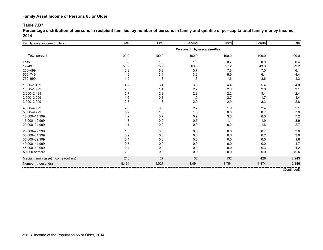**Percentage distribution of persons in recipient families, by number of persons in family and quintile of per-capita total family money income, 2014**

| Family asset income (dollars)        | Total | First | Second                       | Third | Fourth | Fifth |
|--------------------------------------|-------|-------|------------------------------|-------|--------|-------|
|                                      |       |       | Persons in 1-person families |       |        |       |
| Total percent                        | 100.0 | 100.0 | 100.0                        | 100.0 | 100.0  | 100.0 |
| Loss                                 | 0.8   | 1.0   | 1.6                          | 0.7   | 0.8    | 0.4   |
| $1 - 249$                            | 50.9  | 75.9  | 69.5                         | 57.2  | 43.8   | 29.2  |
| 250-499                              | 6.8   | 6.8   | 5.7                          | 7.8   | 7.5    | 6.1   |
| 500-749                              | 4.9   | 3.1   | 3.9                          | 5.9   | 6.4    | 4.4   |
| 750-999                              | 1.9   | 1.3   | 1.6                          | 1.6   | 3.6    | 1.3   |
| 1,000-1,499                          | 4.2   | 3.4   | 3.5                          | 4.4   | 5.4    | 4.0   |
| 1,500-1,999                          | 2.3   | 1.4   | 2.2                          | 2.0   | 2.0    | 3.1   |
| 2,000-2,499                          | 2.7   | 2.3   | 2.9                          | 2.2   | 3.4    | 2.4   |
| 2,500-2,999                          | 1.6   | 0.8   | 1.0                          | 2.7   | 1.7    | 1.4   |
| 3,000-3,999                          | 2.8   | 1.3   | 2.9                          | 2.9   | 3.3    | 2.8   |
| 4,000-4,999                          | 2.0   | 0.3   | 2.7                          | 1.9   | 2.4    | 2.1   |
| 5,000-9,999                          | 5.9   | 1.8   | 1.0                          | 6.6   | 8.7    | 7.9   |
| 10,000-14,999                        | 4.2   | 0.7   | 0.9                          | 3.0   | 6.3    | 7.2   |
| 15,000-19,999                        | 1.8   | 0.0   | 0.5                          | 1.1   | 1.9    | 3.9   |
| 20,000-24,999                        | 1.1   | 0.0   | 0.0                          | 0.2   | 1.6    | 2.7   |
| 25,000-29,999                        | 1.0   | 0.0   | 0.0                          | 0.0   | 0.7    | 3.0   |
| 30,000-34,999                        | 0.9   | 0.0   | 0.0                          | 0.0   | 0.2    | 3.0   |
| 35,000-39,999                        | 0.4   | 0.0   | 0.0                          | 0.0   | 0.0    | 1.6   |
| 40,000-44,999                        | 0.5   | 0.0   | 0.0                          | 0.0   | 0.0    | 1.7   |
| 45,000-49,999                        | 0.4   | 0.0   | 0.0                          | 0.0   | 0.3    | 1.2   |
| 50,000 or more                       | 2.9   | 0.0   | 0.0                          | 0.0   | 0.0    | 10.5  |
| Median family asset income (dollars) | 210   | 27    | 32                           | 132   | 428    | 2,243 |
| Number (thousands)                   | 8,494 | 1,027 | 1,494                        | 1,754 | 1,874  | 2,346 |

(Continued)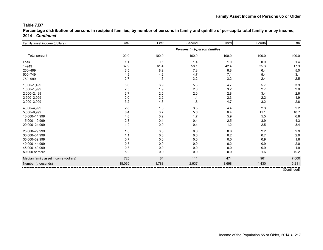**Percentage distribution of persons in recipient families, by number of persons in family and quintile of per-capita total family money income, 2014—***Continued*

| Total                        | First       | Second | Third   | Fourth                       | Fifth |  |  |  |
|------------------------------|-------------|--------|---------|------------------------------|-------|--|--|--|
| Persons in 2-person families |             |        |         |                              |       |  |  |  |
| 100.0                        | 100.0       | 100.0  | 100.0   | 100.0                        | 100.0 |  |  |  |
| 1.1                          | 0.5         | 1.4    | 1.0     | 0.9                          | 1.4   |  |  |  |
|                              | 61.4        | 58.1   | 42.4    | 35.3                         | 17.3  |  |  |  |
| 6.5                          | 8.9         | 7.3    |         | 6.4                          | 5.0   |  |  |  |
| 4.9                          | 4.2         | 4.7    | 7.1     | 5.4                          | 3.1   |  |  |  |
| 2.7                          | 1.6         | 3.2    |         | 2.4                          | 2.5   |  |  |  |
| 5.0                          | 6.9         | 5.3    | 4.7     | 5.7                          | 3.9   |  |  |  |
| 2.5                          | 1.9         | 2.6    |         | 2.7                          | 2.0   |  |  |  |
| 2.7                          | 2.5         | 2.0    | 2.8     | 3.4                          | 2.6   |  |  |  |
| 2.0                          | 2.2         | 1.4    | 2.3     | 2.2                          | 1.9   |  |  |  |
| 3.2                          | 4.3         | 1.8    | 4.7     | 3.2                          | 2.6   |  |  |  |
| 2.8                          | $1.3$       | 3.5    | 4.4     | 2.3                          | 2.2   |  |  |  |
| 8.4                          | 3.7         | 5.6    | 6.4     | 11.1                         | 10.7  |  |  |  |
| 4.8                          | 0.2         | 1.7    | 5.9     | 5.5                          | 6.8   |  |  |  |
| 2.8                          | 0.4         | 0.4    | 2.5     | 3.9                          | 4.3   |  |  |  |
| 1.9                          | 0.0         | 0.4    | $1.2$   | 2.5                          | 3.4   |  |  |  |
| 1.6                          | 0.0         | 0.6    | 0.8     | 2.2                          | 2.9   |  |  |  |
| 1.1                          | 0.0         | 0.0    | 0.2     | 0.7                          | 2.9   |  |  |  |
| 0.7                          | 0.0         | 0.0    | 0.0     | 0.9                          | 1.6   |  |  |  |
| 0.8                          | 0.0         | 0.0    | $0.2\,$ | 0.9                          | 2.0   |  |  |  |
|                              | 0.0         | 0.0    |         | 0.9                          | 1.9   |  |  |  |
| 5.9                          | 0.0         | 0.0    | 0.0     | 1.6                          | 19.2  |  |  |  |
| 725                          | 84          | 111    | 474     | 961                          | 7,000 |  |  |  |
| 18,065                       | 1,788       | 2,937  | 3,698   | 4,430                        | 5,211 |  |  |  |
|                              | 37.9<br>0.8 |        |         | $6.8\,$<br>3.2<br>3.2<br>0.0 |       |  |  |  |

(Continued)